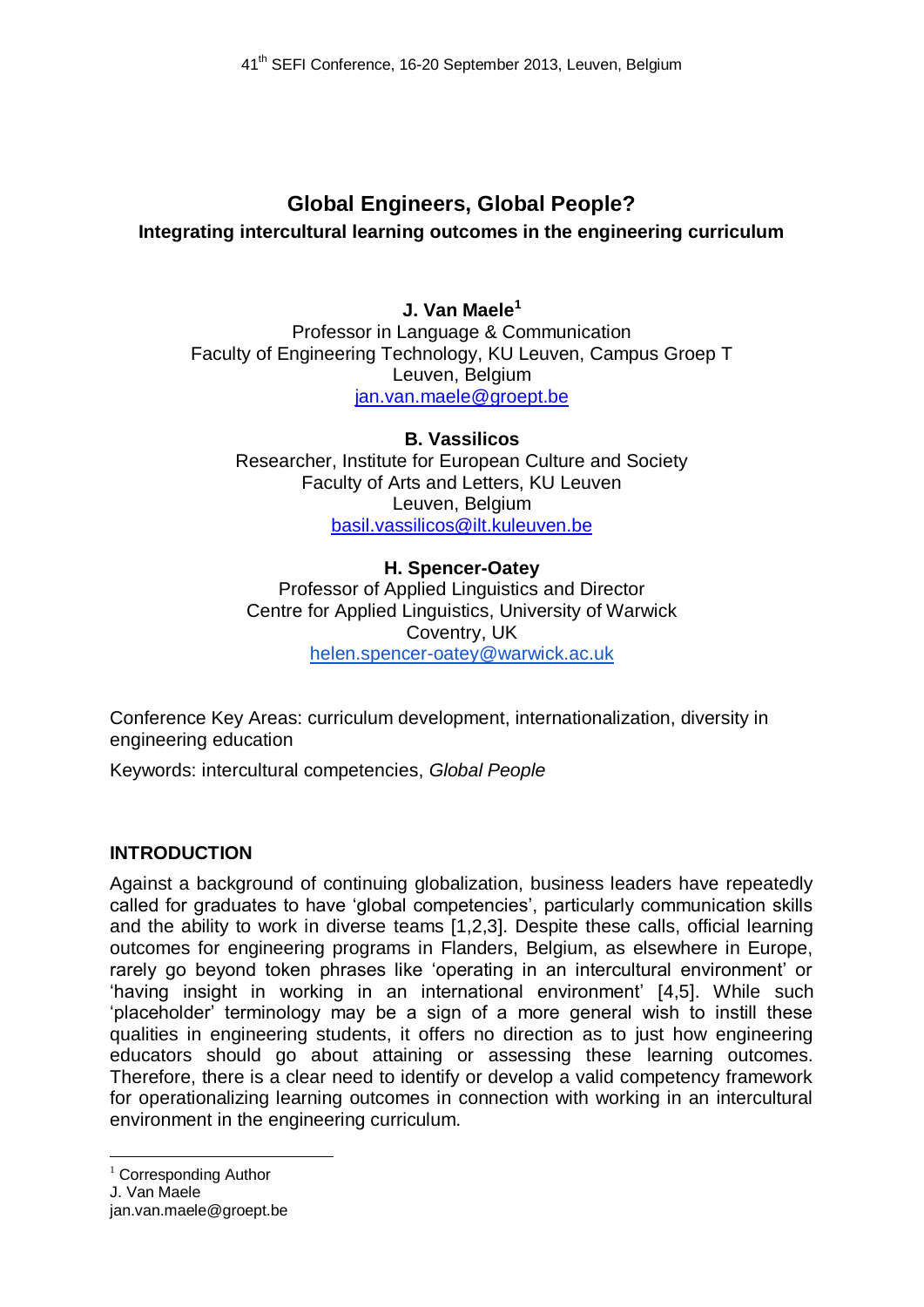# **Global Engineers, Global People? Integrating intercultural learning outcomes in the engineering curriculum**

# **J. Van Maele<sup>1</sup>**

Professor in Language & Communication Faculty of Engineering Technology, KU Leuven, Campus Groep T Leuven, Belgium jan.van.maele@groept.be

## **B. Vassilicos**

Researcher, Institute for European Culture and Society Faculty of Arts and Letters, KU Leuven Leuven, Belgium basil.vassilicos@ilt.kuleuven.be

## **H. Spencer-Oatey**

Professor of Applied Linguistics and Director Centre for Applied Linguistics, University of Warwick Coventry, UK [helen.spencer-oatey@warwick.ac.uk](mailto:helen.spencer-oatey@warwick.ac.uk)

Conference Key Areas: curriculum development, internationalization, diversity in engineering education

Keywords: intercultural competencies, *Global People*

# **INTRODUCTION**

Against a background of continuing globalization, business leaders have repeatedly called for graduates to have 'global competencies', particularly communication skills and the ability to work in diverse teams [1,2,3]. Despite these calls, official learning outcomes for engineering programs in Flanders, Belgium, as elsewhere in Europe, rarely go beyond token phrases like 'operating in an intercultural environment' or 'having insight in working in an international environment' [4,5]. While such 'placeholder' terminology may be a sign of a more general wish to instill these qualities in engineering students, it offers no direction as to just how engineering educators should go about attaining or assessing these learning outcomes. Therefore, there is a clear need to identify or develop a valid competency framework for operationalizing learning outcomes in connection with working in an intercultural environment in the engineering curriculum.

 $1$  Corresponding Author

J. Van Maele

<u>.</u>

jan.van.maele@groept.be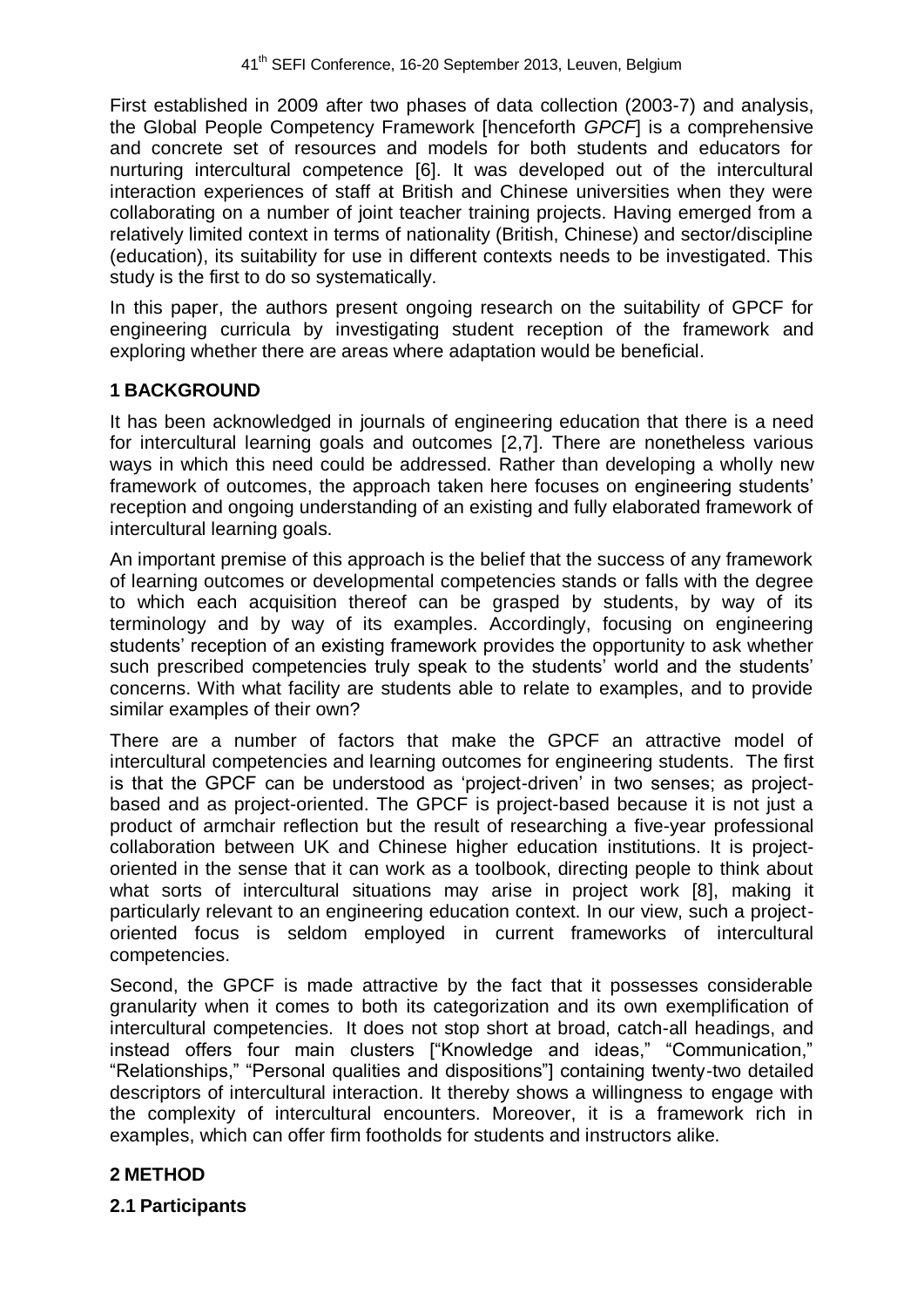First established in 2009 after two phases of data collection (2003-7) and analysis, the Global People Competency Framework [henceforth *GPCF*] is a comprehensive and concrete set of resources and models for both students and educators for nurturing intercultural competence [6]. It was developed out of the intercultural interaction experiences of staff at British and Chinese universities when they were collaborating on a number of joint teacher training projects. Having emerged from a relatively limited context in terms of nationality (British, Chinese) and sector/discipline (education), its suitability for use in different contexts needs to be investigated. This study is the first to do so systematically.

In this paper, the authors present ongoing research on the suitability of GPCF for engineering curricula by investigating student reception of the framework and exploring whether there are areas where adaptation would be beneficial.

### **1 BACKGROUND**

It has been acknowledged in journals of engineering education that there is a need for intercultural learning goals and outcomes [2,7]. There are nonetheless various ways in which this need could be addressed. Rather than developing a wholly new framework of outcomes, the approach taken here focuses on engineering students' reception and ongoing understanding of an existing and fully elaborated framework of intercultural learning goals.

An important premise of this approach is the belief that the success of any framework of learning outcomes or developmental competencies stands or falls with the degree to which each acquisition thereof can be grasped by students, by way of its terminology and by way of its examples. Accordingly, focusing on engineering students' reception of an existing framework provides the opportunity to ask whether such prescribed competencies truly speak to the students' world and the students' concerns. With what facility are students able to relate to examples, and to provide similar examples of their own?

There are a number of factors that make the GPCF an attractive model of intercultural competencies and learning outcomes for engineering students. The first is that the GPCF can be understood as 'project-driven' in two senses; as projectbased and as project-oriented. The GPCF is project-based because it is not just a product of armchair reflection but the result of researching a five-year professional collaboration between UK and Chinese higher education institutions. It is projectoriented in the sense that it can work as a toolbook, directing people to think about what sorts of intercultural situations may arise in project work [8], making it particularly relevant to an engineering education context. In our view, such a projectoriented focus is seldom employed in current frameworks of intercultural competencies.

Second, the GPCF is made attractive by the fact that it possesses considerable granularity when it comes to both its categorization and its own exemplification of intercultural competencies. It does not stop short at broad, catch-all headings, and instead offers four main clusters ["Knowledge and ideas," "Communication," "Relationships," "Personal qualities and dispositions"] containing twenty-two detailed descriptors of intercultural interaction. It thereby shows a willingness to engage with the complexity of intercultural encounters. Moreover, it is a framework rich in examples, which can offer firm footholds for students and instructors alike.

### **2 METHOD**

### **2.1 Participants**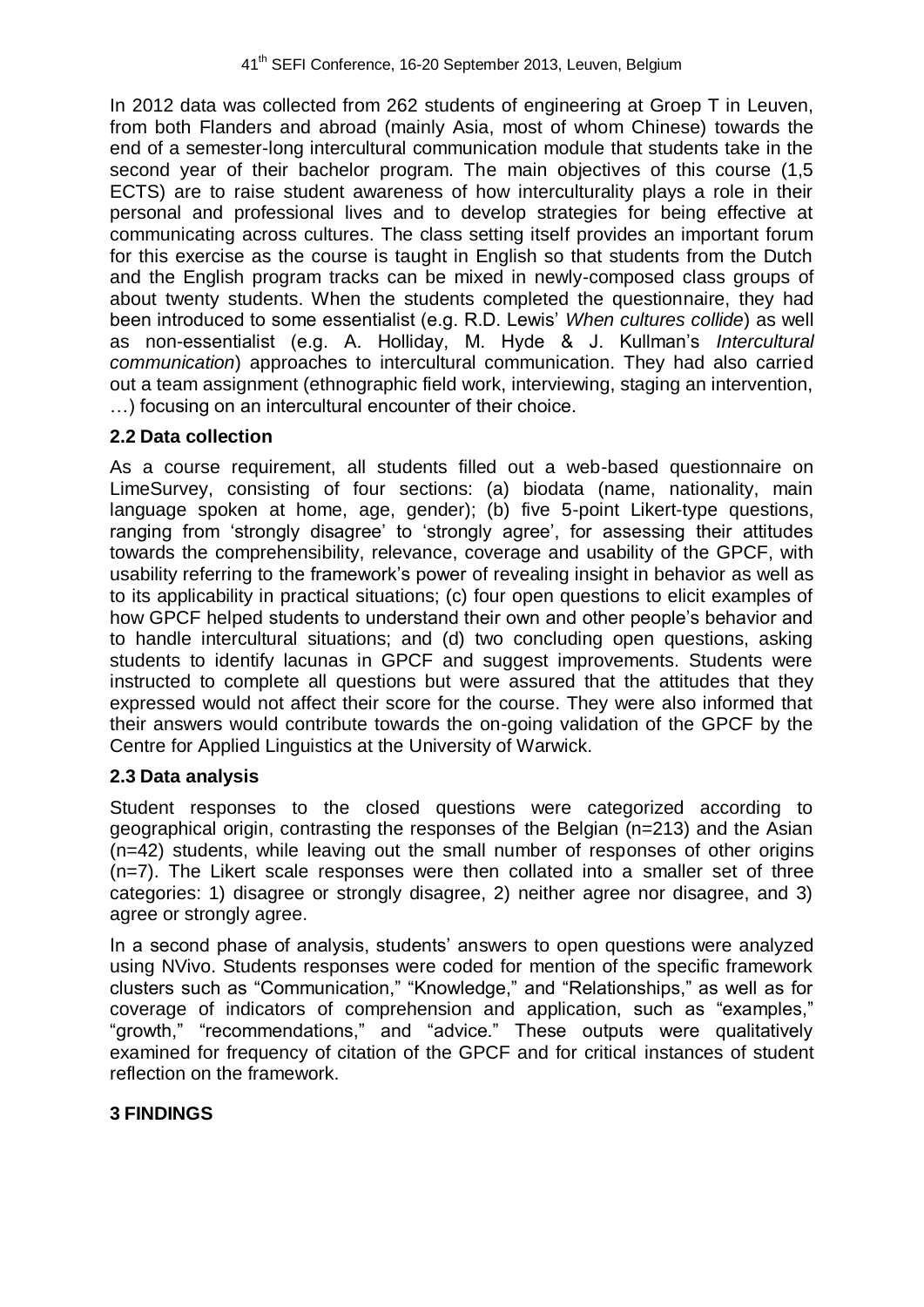In 2012 data was collected from 262 students of engineering at Groep T in Leuven, from both Flanders and abroad (mainly Asia, most of whom Chinese) towards the end of a semester-long intercultural communication module that students take in the second year of their bachelor program. The main objectives of this course (1,5 ECTS) are to raise student awareness of how interculturality plays a role in their personal and professional lives and to develop strategies for being effective at communicating across cultures. The class setting itself provides an important forum for this exercise as the course is taught in English so that students from the Dutch and the English program tracks can be mixed in newly-composed class groups of about twenty students. When the students completed the questionnaire, they had been introduced to some essentialist (e.g. R.D. Lewis' *When cultures collide*) as well as non-essentialist (e.g. A. Holliday, M. Hyde & J. Kullman's *Intercultural communication*) approaches to intercultural communication. They had also carried out a team assignment (ethnographic field work, interviewing, staging an intervention, …) focusing on an intercultural encounter of their choice.

# **2.2 Data collection**

As a course requirement, all students filled out a web-based questionnaire on LimeSurvey, consisting of four sections: (a) biodata (name, nationality, main language spoken at home, age, gender); (b) five 5-point Likert-type questions, ranging from 'strongly disagree' to 'strongly agree', for assessing their attitudes towards the comprehensibility, relevance, coverage and usability of the GPCF, with usability referring to the framework's power of revealing insight in behavior as well as to its applicability in practical situations; (c) four open questions to elicit examples of how GPCF helped students to understand their own and other people's behavior and to handle intercultural situations; and (d) two concluding open questions, asking students to identify lacunas in GPCF and suggest improvements. Students were instructed to complete all questions but were assured that the attitudes that they expressed would not affect their score for the course. They were also informed that their answers would contribute towards the on-going validation of the GPCF by the Centre for Applied Linguistics at the University of Warwick.

# **2.3 Data analysis**

Student responses to the closed questions were categorized according to geographical origin, contrasting the responses of the Belgian (n=213) and the Asian (n=42) students, while leaving out the small number of responses of other origins (n=7). The Likert scale responses were then collated into a smaller set of three categories: 1) disagree or strongly disagree, 2) neither agree nor disagree, and 3) agree or strongly agree.

In a second phase of analysis, students' answers to open questions were analyzed using NVivo. Students responses were coded for mention of the specific framework clusters such as "Communication," "Knowledge," and "Relationships," as well as for coverage of indicators of comprehension and application, such as "examples," "growth," "recommendations," and "advice." These outputs were qualitatively examined for frequency of citation of the GPCF and for critical instances of student reflection on the framework.

# **3 FINDINGS**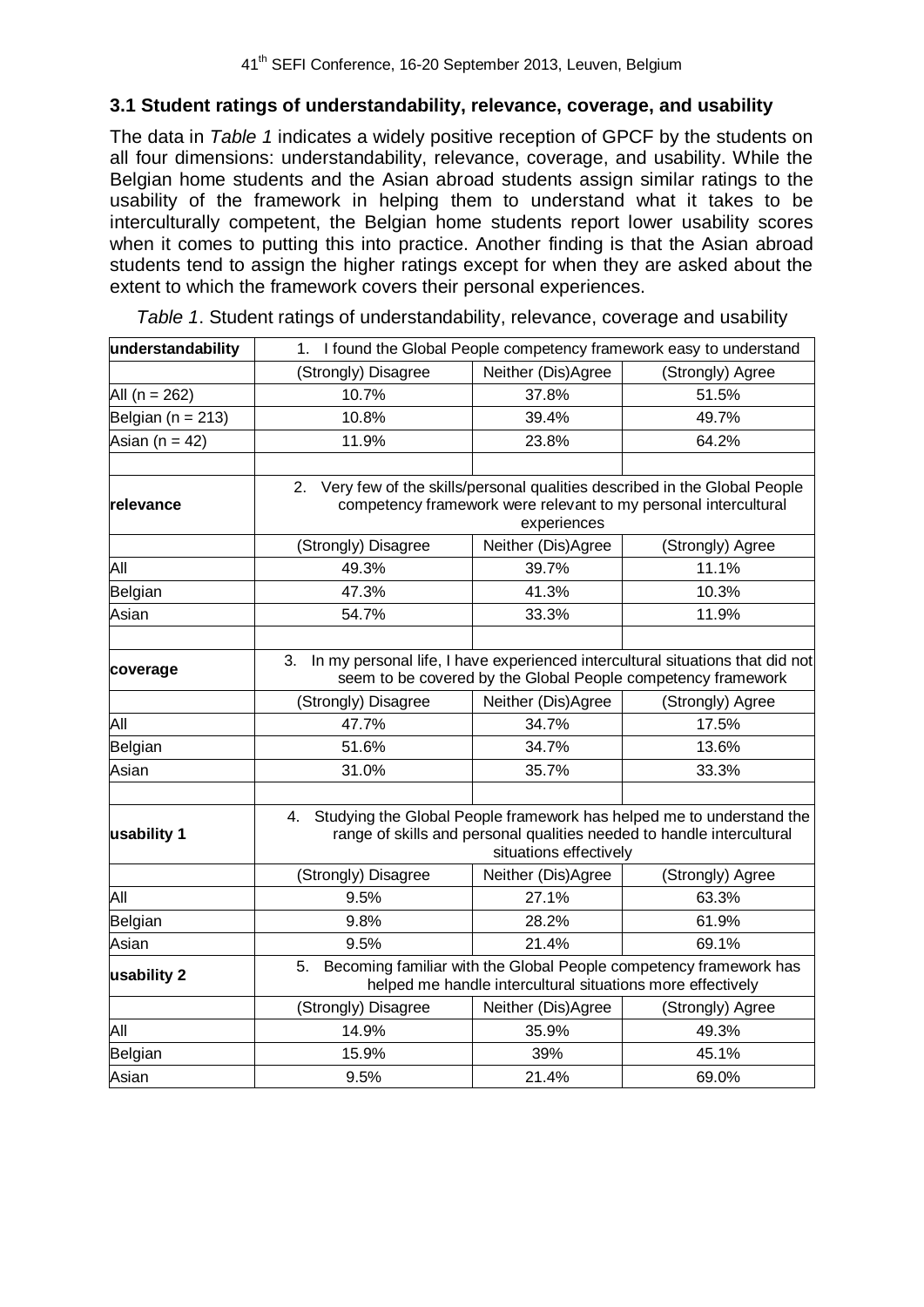#### **3.1 Student ratings of understandability, relevance, coverage, and usability**

The data in *Table 1* indicates a widely positive reception of GPCF by the students on all four dimensions: understandability, relevance, coverage, and usability. While the Belgian home students and the Asian abroad students assign similar ratings to the usability of the framework in helping them to understand what it takes to be interculturally competent, the Belgian home students report lower usability scores when it comes to putting this into practice. Another finding is that the Asian abroad students tend to assign the higher ratings except for when they are asked about the extent to which the framework covers their personal experiences.

| understandability     | I found the Global People competency framework easy to understand<br>1.                                                                                                                                              |                                        |                  |  |  |
|-----------------------|----------------------------------------------------------------------------------------------------------------------------------------------------------------------------------------------------------------------|----------------------------------------|------------------|--|--|
|                       | (Strongly) Disagree                                                                                                                                                                                                  | Neither (Dis)Agree<br>(Strongly) Agree |                  |  |  |
| All ( $n = 262$ )     | 10.7%                                                                                                                                                                                                                | 37.8%                                  | 51.5%            |  |  |
| Belgian ( $n = 213$ ) | 10.8%                                                                                                                                                                                                                | 39.4%                                  | 49.7%            |  |  |
| Asian ( $n = 42$ )    | 11.9%                                                                                                                                                                                                                | 23.8%                                  | 64.2%            |  |  |
|                       |                                                                                                                                                                                                                      |                                        |                  |  |  |
| lrelevance            | Very few of the skills/personal qualities described in the Global People<br>2.<br>competency framework were relevant to my personal intercultural<br>experiences                                                     |                                        |                  |  |  |
|                       | (Strongly) Disagree                                                                                                                                                                                                  | Neither (Dis)Agree                     | (Strongly) Agree |  |  |
| All                   | 49.3%                                                                                                                                                                                                                | 39.7%                                  | 11.1%            |  |  |
| Belgian               | 47.3%                                                                                                                                                                                                                | 41.3%                                  | 10.3%            |  |  |
| Asian                 | 54.7%                                                                                                                                                                                                                | 33.3%                                  | 11.9%            |  |  |
| coverage              | In my personal life, I have experienced intercultural situations that did not<br>3.<br>seem to be covered by the Global People competency framework<br>Neither (Dis)Agree<br>(Strongly) Disagree<br>(Strongly) Agree |                                        |                  |  |  |
| All                   | 47.7%                                                                                                                                                                                                                | 34.7%                                  | 17.5%            |  |  |
| Belgian               | 51.6%                                                                                                                                                                                                                | 34.7%                                  | 13.6%            |  |  |
| Asian                 | 31.0%                                                                                                                                                                                                                | 35.7%                                  | 33.3%            |  |  |
|                       |                                                                                                                                                                                                                      |                                        |                  |  |  |
| usability 1           | Studying the Global People framework has helped me to understand the<br>4.<br>range of skills and personal qualities needed to handle intercultural<br>situations effectively                                        |                                        |                  |  |  |
|                       | (Strongly) Disagree                                                                                                                                                                                                  | Neither (Dis)Agree                     | (Strongly) Agree |  |  |
| All                   | 9.5%                                                                                                                                                                                                                 | 27.1%                                  | 63.3%            |  |  |
| Belgian               | 9.8%                                                                                                                                                                                                                 | 28.2%                                  | 61.9%            |  |  |
| Asian                 | 9.5%                                                                                                                                                                                                                 | 21.4%                                  | 69.1%            |  |  |
| usability 2           | Becoming familiar with the Global People competency framework has<br>5.<br>helped me handle intercultural situations more effectively                                                                                |                                        |                  |  |  |
|                       | (Strongly) Disagree                                                                                                                                                                                                  | Neither (Dis)Agree                     | (Strongly) Agree |  |  |
| All                   | 14.9%                                                                                                                                                                                                                | 35.9%                                  | 49.3%            |  |  |
| Belgian               | 15.9%                                                                                                                                                                                                                | 39%                                    | 45.1%            |  |  |
| Asian                 | 9.5%                                                                                                                                                                                                                 | 21.4%                                  | 69.0%            |  |  |

*Table 1*. Student ratings of understandability, relevance, coverage and usability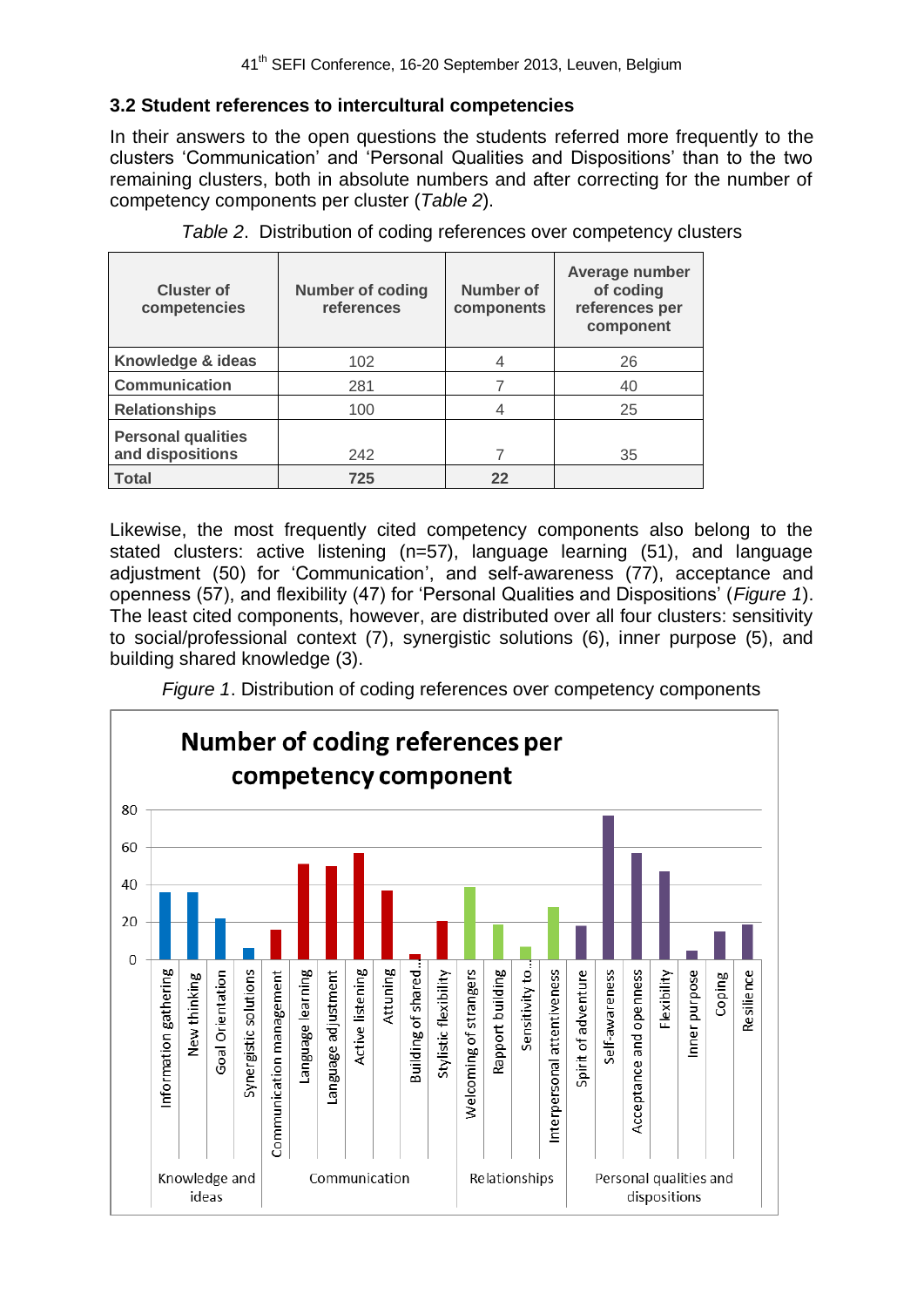## **3.2 Student references to intercultural competencies**

In their answers to the open questions the students referred more frequently to the clusters 'Communication' and 'Personal Qualities and Dispositions' than to the two remaining clusters, both in absolute numbers and after correcting for the number of competency components per cluster (*Table 2*).

| <b>Cluster of</b><br>competencies             | <b>Number of coding</b><br>references | Number of<br>components | Average number<br>of coding<br>references per<br>component |
|-----------------------------------------------|---------------------------------------|-------------------------|------------------------------------------------------------|
| Knowledge & ideas                             | 102                                   |                         | 26                                                         |
| <b>Communication</b>                          | 281                                   |                         | 40                                                         |
| <b>Relationships</b>                          | 100                                   | 4                       | 25                                                         |
| <b>Personal qualities</b><br>and dispositions | 242                                   |                         | 35                                                         |
| <b>Total</b>                                  | 725                                   | 22                      |                                                            |

Likewise, the most frequently cited competency components also belong to the stated clusters: active listening (n=57), language learning (51), and language adjustment (50) for 'Communication', and self-awareness (77), acceptance and openness (57), and flexibility (47) for 'Personal Qualities and Dispositions' (*Figure 1*). The least cited components, however, are distributed over all four clusters: sensitivity to social/professional context (7), synergistic solutions (6), inner purpose (5), and building shared knowledge (3).

*Figure 1*. Distribution of coding references over competency components

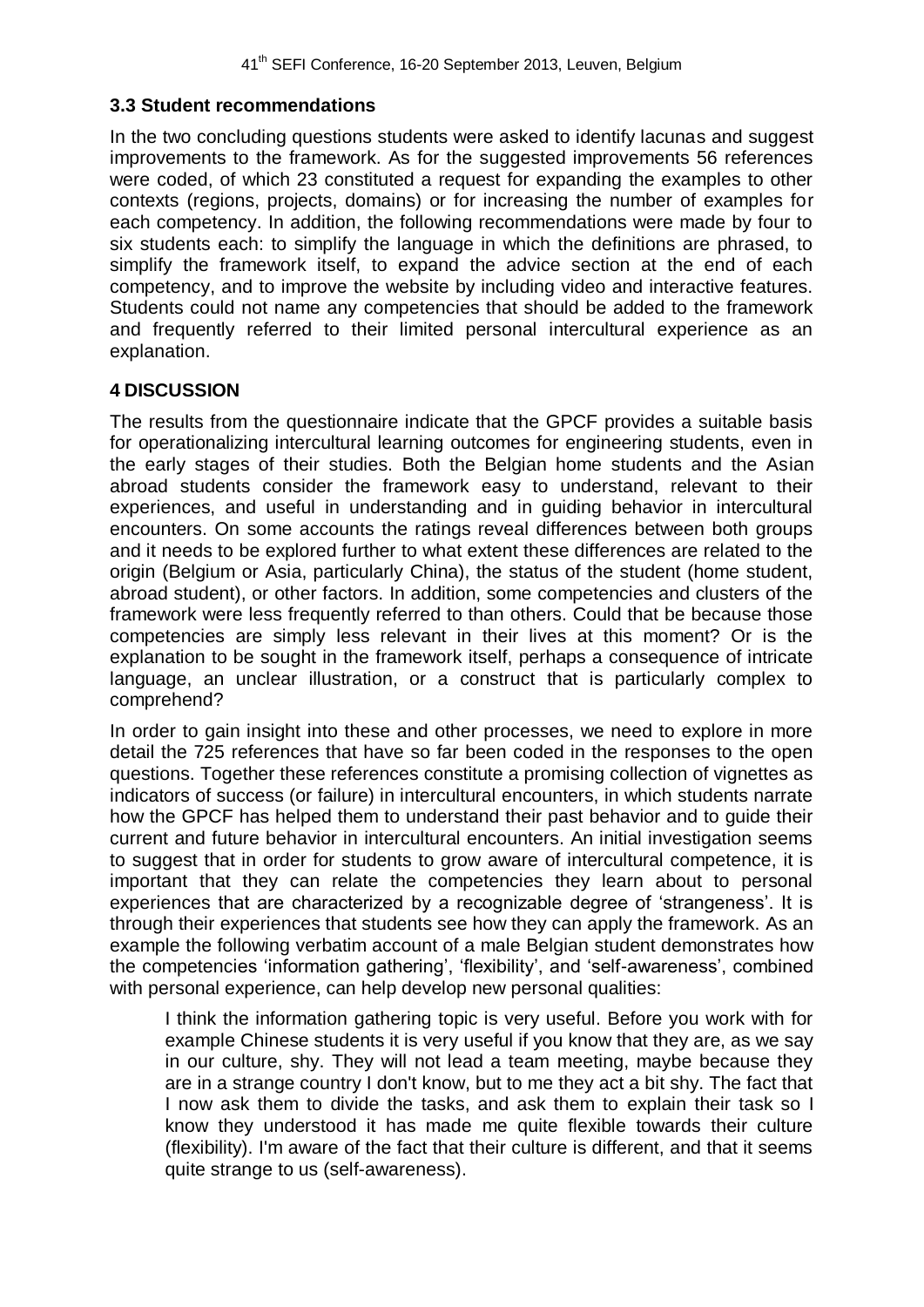#### **3.3 Student recommendations**

In the two concluding questions students were asked to identify lacunas and suggest improvements to the framework. As for the suggested improvements 56 references were coded, of which 23 constituted a request for expanding the examples to other contexts (regions, projects, domains) or for increasing the number of examples for each competency. In addition, the following recommendations were made by four to six students each: to simplify the language in which the definitions are phrased, to simplify the framework itself, to expand the advice section at the end of each competency, and to improve the website by including video and interactive features. Students could not name any competencies that should be added to the framework and frequently referred to their limited personal intercultural experience as an explanation.

### **4 DISCUSSION**

The results from the questionnaire indicate that the GPCF provides a suitable basis for operationalizing intercultural learning outcomes for engineering students, even in the early stages of their studies. Both the Belgian home students and the Asian abroad students consider the framework easy to understand, relevant to their experiences, and useful in understanding and in guiding behavior in intercultural encounters. On some accounts the ratings reveal differences between both groups and it needs to be explored further to what extent these differences are related to the origin (Belgium or Asia, particularly China), the status of the student (home student, abroad student), or other factors. In addition, some competencies and clusters of the framework were less frequently referred to than others. Could that be because those competencies are simply less relevant in their lives at this moment? Or is the explanation to be sought in the framework itself, perhaps a consequence of intricate language, an unclear illustration, or a construct that is particularly complex to comprehend?

In order to gain insight into these and other processes, we need to explore in more detail the 725 references that have so far been coded in the responses to the open questions. Together these references constitute a promising collection of vignettes as indicators of success (or failure) in intercultural encounters, in which students narrate how the GPCF has helped them to understand their past behavior and to guide their current and future behavior in intercultural encounters. An initial investigation seems to suggest that in order for students to grow aware of intercultural competence, it is important that they can relate the competencies they learn about to personal experiences that are characterized by a recognizable degree of 'strangeness'. It is through their experiences that students see how they can apply the framework. As an example the following verbatim account of a male Belgian student demonstrates how the competencies 'information gathering', 'flexibility', and 'self-awareness', combined with personal experience, can help develop new personal qualities:

I think the information gathering topic is very useful. Before you work with for example Chinese students it is very useful if you know that they are, as we say in our culture, shy. They will not lead a team meeting, maybe because they are in a strange country I don't know, but to me they act a bit shy. The fact that I now ask them to divide the tasks, and ask them to explain their task so I know they understood it has made me quite flexible towards their culture (flexibility). I'm aware of the fact that their culture is different, and that it seems quite strange to us (self-awareness).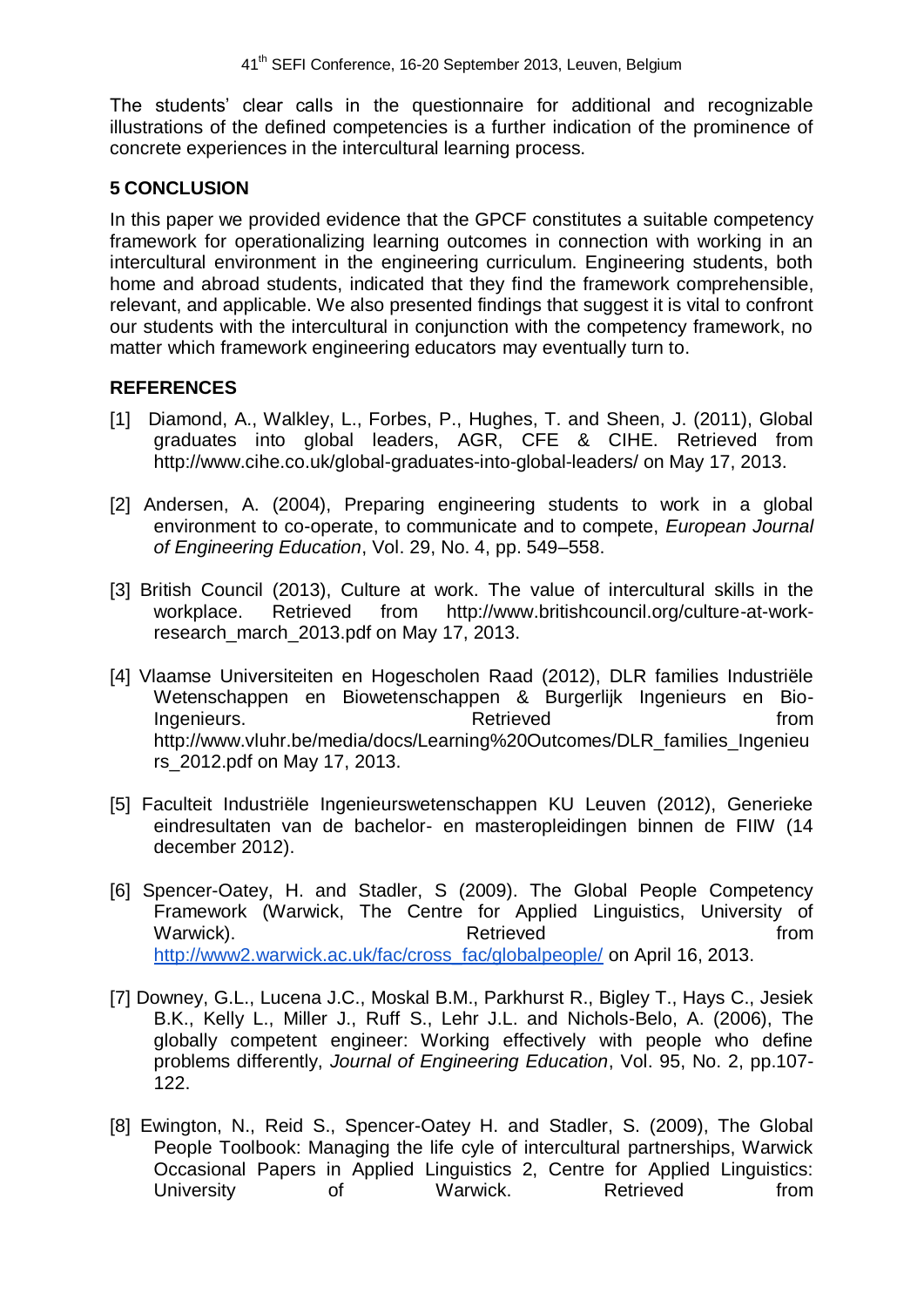The students' clear calls in the questionnaire for additional and recognizable illustrations of the defined competencies is a further indication of the prominence of concrete experiences in the intercultural learning process.

### **5 CONCLUSION**

In this paper we provided evidence that the GPCF constitutes a suitable competency framework for operationalizing learning outcomes in connection with working in an intercultural environment in the engineering curriculum. Engineering students, both home and abroad students, indicated that they find the framework comprehensible, relevant, and applicable. We also presented findings that suggest it is vital to confront our students with the intercultural in conjunction with the competency framework, no matter which framework engineering educators may eventually turn to.

## **REFERENCES**

- [1] Diamond, A., Walkley, L., Forbes, P., Hughes, T. and Sheen, J. (2011), Global graduates into global leaders, AGR, CFE & CIHE. Retrieved from http://www.cihe.co.uk/global-graduates-into-global-leaders/ on May 17, 2013.
- [2] Andersen, A. (2004), Preparing engineering students to work in a global environment to co-operate, to communicate and to compete, *European Journal of Engineering Education*, Vol. 29, No. 4, pp. 549–558.
- [3] British Council (2013), Culture at work. The value of intercultural skills in the workplace. Retrieved from http://www.britishcouncil.org/culture-at-workresearch\_march\_2013.pdf on May 17, 2013.
- [4] Vlaamse Universiteiten en Hogescholen Raad (2012), DLR families Industriële Wetenschappen en Biowetenschappen & Burgerlijk Ingenieurs en Bio-Ingenieurs. The external retrieved from the extension of the extension of the extension of the extension of the extension of the extension of the extension of the extension of the extension of the extension of the extensio http://www.vluhr.be/media/docs/Learning%20Outcomes/DLR\_families\_Ingenieu rs\_2012.pdf on May 17, 2013.
- [5] Faculteit Industriële Ingenieurswetenschappen KU Leuven (2012), Generieke eindresultaten van de bachelor- en masteropleidingen binnen de FIIW (14 december 2012).
- [6] Spencer-Oatey, H. and Stadler, S (2009). The Global People Competency Framework (Warwick, The Centre for Applied Linguistics, University of Warwick). The contract of the Retrieved contract of the from the set of the set of the set of the set of the set of the set of the set of the set of the set of the set of the set of the set of the set of the set of the set [http://www2.warwick.ac.uk/fac/cross\\_fac/globalpeople/](http://www2.warwick.ac.uk/fac/cross_fac/globalpeople/) on April 16, 2013.
- [7] Downey, G.L., Lucena J.C., Moskal B.M., Parkhurst R., Bigley T., Hays C., Jesiek B.K., Kelly L., Miller J., Ruff S., Lehr J.L. and Nichols-Belo, A. (2006), The globally competent engineer: Working effectively with people who define problems differently, *Journal of Engineering Education*, Vol. 95, No. 2, pp.107- 122.
- [8] Ewington, N., Reid S., Spencer-Oatey H. and Stadler, S. (2009), The Global People Toolbook: Managing the life cyle of intercultural partnerships, Warwick Occasional Papers in Applied Linguistics 2, Centre for Applied Linguistics: University of Marwick. Retrieved from